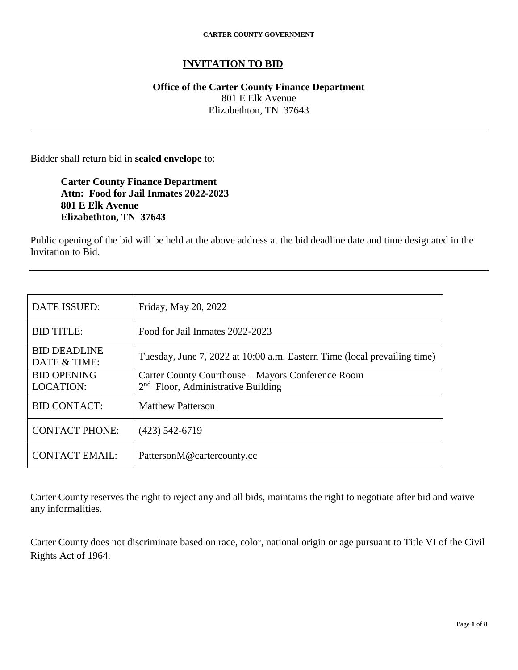### **INVITATION TO BID**

### **Office of the Carter County Finance Department** 801 E Elk Avenue Elizabethton, TN 37643

Bidder shall return bid in **sealed envelope** to:

**Carter County Finance Department Attn: Food for Jail Inmates 2022-2023 801 E Elk Avenue Elizabethton, TN 37643**

Public opening of the bid will be held at the above address at the bid deadline date and time designated in the Invitation to Bid.

| <b>DATE ISSUED:</b>                    | Friday, May 20, 2022                                                                                |
|----------------------------------------|-----------------------------------------------------------------------------------------------------|
| <b>BID TITLE:</b>                      | Food for Jail Inmates 2022-2023                                                                     |
| <b>BID DEADLINE</b><br>DATE & TIME:    | Tuesday, June 7, 2022 at 10:00 a.m. Eastern Time (local prevailing time)                            |
| <b>BID OPENING</b><br><b>LOCATION:</b> | Carter County Courthouse – Mayors Conference Room<br>2 <sup>nd</sup> Floor, Administrative Building |
| <b>BID CONTACT:</b>                    | <b>Matthew Patterson</b>                                                                            |
| <b>CONTACT PHONE:</b>                  | $(423)$ 542-6719                                                                                    |
| <b>CONTACT EMAIL:</b>                  | PattersonM@cartercounty.cc                                                                          |

Carter County reserves the right to reject any and all bids, maintains the right to negotiate after bid and waive any informalities.

Carter County does not discriminate based on race, color, national origin or age pursuant to Title VI of the Civil Rights Act of 1964.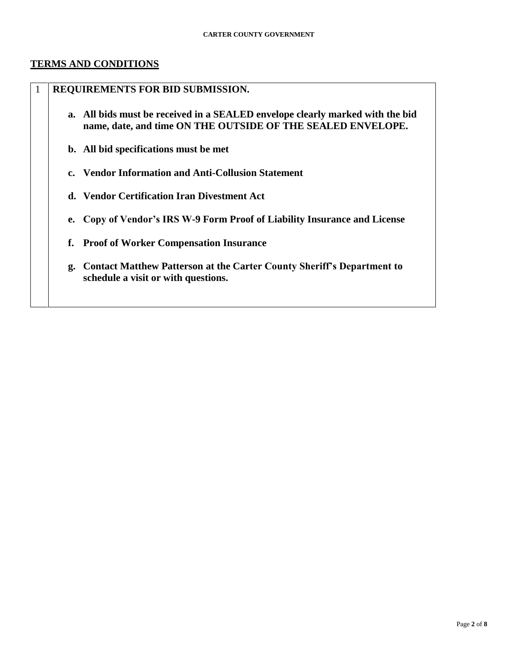#### **TERMS AND CONDITIONS**

### 1 **REQUIREMENTS FOR BID SUBMISSION.**

- **a. All bids must be received in a SEALED envelope clearly marked with the bid name, date, and time ON THE OUTSIDE OF THE SEALED ENVELOPE.**
- **b. All bid specifications must be met**
- **c. Vendor Information and Anti-Collusion Statement**
- **d. Vendor Certification Iran Divestment Act**
- **e. Copy of Vendor's IRS W-9 Form Proof of Liability Insurance and License**
- **f. Proof of Worker Compensation Insurance**
- **g. Contact Matthew Patterson at the Carter County Sheriff's Department to schedule a visit or with questions.**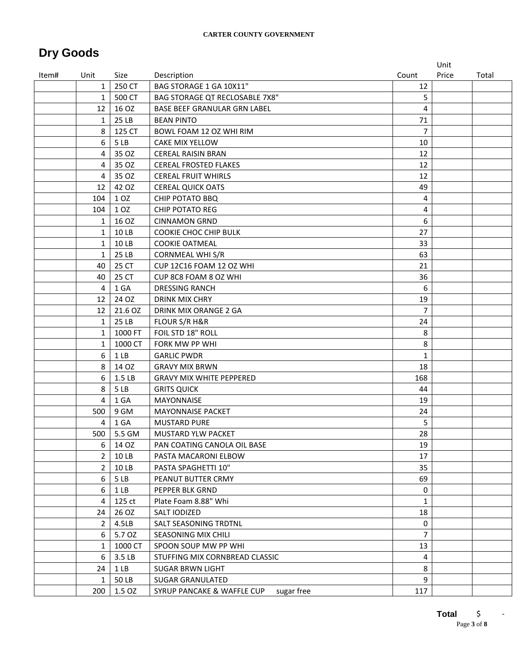## **Dry Goods**

|       |                |                 |                                          |                | Unit  |       |
|-------|----------------|-----------------|------------------------------------------|----------------|-------|-------|
| Item# | Unit           | Size            | Description                              | Count          | Price | Total |
|       | $\mathbf{1}$   | 250 CT          | BAG STORAGE 1 GA 10X11"                  | 12             |       |       |
|       | $\mathbf{1}$   | 500 CT          | <b>BAG STORAGE QT RECLOSABLE 7X8"</b>    | 5              |       |       |
|       | 12             | 16 OZ           | BASE BEEF GRANULAR GRN LABEL             | 4              |       |       |
|       | 1              | 25 LB           | <b>BEAN PINTO</b>                        | 71             |       |       |
|       | 8              | 125 CT          | BOWL FOAM 12 OZ WHI RIM                  | $\overline{7}$ |       |       |
|       | 6              | 5LB             | CAKE MIX YELLOW                          | 10             |       |       |
|       | 4              | 35 OZ           | <b>CEREAL RAISIN BRAN</b>                | 12             |       |       |
|       | 4              | 35 OZ           | <b>CEREAL FROSTED FLAKES</b>             | 12             |       |       |
|       | 4              | 35 OZ           | <b>CEREAL FRUIT WHIRLS</b>               | 12             |       |       |
|       | 12             | 42 OZ           | <b>CEREAL QUICK OATS</b>                 | 49             |       |       |
|       | 104            | 1 OZ            | <b>CHIP POTATO BBQ</b>                   | $\overline{4}$ |       |       |
|       | 104            | 1 OZ            | <b>CHIP POTATO REG</b>                   | 4              |       |       |
|       | 1              | 16 OZ           | <b>CINNAMON GRND</b>                     | 6              |       |       |
|       | $\mathbf{1}$   | 10 LB           | COOKIE CHOC CHIP BULK                    | 27             |       |       |
|       | $\mathbf{1}$   | 10 LB           | <b>COOKIE OATMEAL</b>                    | 33             |       |       |
|       | $\mathbf{1}$   | 25 LB           | <b>CORNMEAL WHI S/R</b>                  | 63             |       |       |
|       | 40             | 25 CT           | CUP 12C16 FOAM 12 OZ WHI                 | 21             |       |       |
|       | 40             | 25 CT           | CUP 8C8 FOAM 8 OZ WHI                    | 36             |       |       |
|       | 4              | 1 GA            | <b>DRESSING RANCH</b>                    | 6              |       |       |
|       | 12             | 24 OZ           | DRINK MIX CHRY                           | 19             |       |       |
|       | 12             | 21.6 OZ         | DRINK MIX ORANGE 2 GA                    | $\overline{7}$ |       |       |
|       | $\mathbf{1}$   | 25 LB           | FLOUR S/R H&R                            | 24             |       |       |
|       | 1              | 1000 FT         | FOIL STD 18" ROLL                        | 8              |       |       |
|       | $\mathbf{1}$   | 1000 CT         | FORK MW PP WHI                           | 8              |       |       |
|       | 6              | 1 <sub>LB</sub> | <b>GARLIC PWDR</b>                       | $\mathbf{1}$   |       |       |
|       | 8              | 14 OZ           | <b>GRAVY MIX BRWN</b>                    | 18             |       |       |
|       | 6              | 1.5 LB          | <b>GRAVY MIX WHITE PEPPERED</b>          | 168            |       |       |
|       | 8              | 5LB             | <b>GRITS QUICK</b>                       | 44             |       |       |
|       | 4              | 1 GA            | <b>MAYONNAISE</b>                        | 19             |       |       |
|       | 500            | 9 GM            | <b>MAYONNAISE PACKET</b>                 | 24             |       |       |
|       | 4              | 1 GA            | <b>MUSTARD PURE</b>                      | 5              |       |       |
|       | 500            | 5.5 GM          | <b>MUSTARD YLW PACKET</b>                | 28             |       |       |
|       | 6              | 14 OZ           | PAN COATING CANOLA OIL BASE              | 19             |       |       |
|       | $\overline{2}$ | 10 LB           | PASTA MACARONI ELBOW                     | 17             |       |       |
|       | $2^{\circ}$    | 10 LB           | PASTA SPAGHETTI 10"                      | 35             |       |       |
|       | 6              | 5LB             | PEANUT BUTTER CRMY                       | 69             |       |       |
|       | 6              | 1 <sub>LB</sub> | PEPPER BLK GRND                          | 0              |       |       |
|       | 4              | 125 ct          | Plate Foam 8.88" Whi                     | $\mathbf{1}$   |       |       |
|       | 24             | 26 OZ           | SALT IODIZED                             | 18             |       |       |
|       | $\overline{2}$ | 4.5LB           | SALT SEASONING TRDTNL                    | 0              |       |       |
|       | 6              | 5.7 OZ          | SEASONING MIX CHILI                      | $\overline{7}$ |       |       |
|       | 1              | 1000 CT         | SPOON SOUP MW PP WHI                     | 13             |       |       |
|       | 6              | 3.5 LB          | STUFFING MIX CORNBREAD CLASSIC           | 4              |       |       |
|       | 24             | 1 <sub>LB</sub> | <b>SUGAR BRWN LIGHT</b>                  | 8              |       |       |
|       | $\mathbf{1}$   | 50 LB           | <b>SUGAR GRANULATED</b>                  | 9              |       |       |
|       | 200            | 1.5 OZ          | SYRUP PANCAKE & WAFFLE CUP<br>sugar free | 117            |       |       |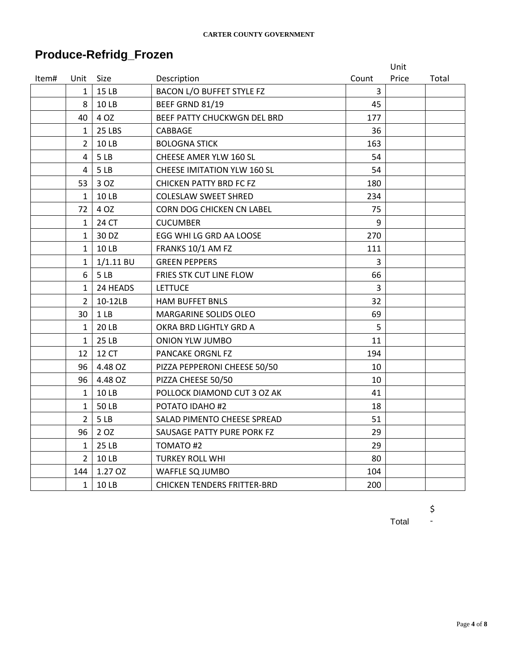# **Produce-Refridg\_Frozen**

|       |                |                 |                                    |                | Unit  |       |
|-------|----------------|-----------------|------------------------------------|----------------|-------|-------|
| Item# | Unit           | Size            | Description                        | Count          | Price | Total |
|       | $\mathbf{1}$   | 15 LB           | <b>BACON L/O BUFFET STYLE FZ</b>   | 3              |       |       |
|       | 8              | 10 LB           | BEEF GRND 81/19                    | 45             |       |       |
|       | 40             | 4 OZ            | BEEF PATTY CHUCKWGN DEL BRD        | 177            |       |       |
|       | $\mathbf{1}$   | 25 LBS          | CABBAGE                            | 36             |       |       |
|       | $\overline{2}$ | <b>10LB</b>     | <b>BOLOGNA STICK</b>               | 163            |       |       |
|       | 4              | 5LB             | CHEESE AMER YLW 160 SL             | 54             |       |       |
|       | 4              | 5LB             | <b>CHEESE IMITATION YLW 160 SL</b> | 54             |       |       |
|       | 53             | 3 OZ            | <b>CHICKEN PATTY BRD FC FZ</b>     | 180            |       |       |
|       | $\mathbf{1}$   | 10 LB           | <b>COLESLAW SWEET SHRED</b>        | 234            |       |       |
|       | 72             | 4 OZ            | CORN DOG CHICKEN CN LABEL          | 75             |       |       |
|       | $\mathbf{1}$   | 24 CT           | <b>CUCUMBER</b>                    | 9              |       |       |
|       | $\mathbf{1}$   | 30 DZ           | EGG WHI LG GRD AA LOOSE            | 270            |       |       |
|       | $\mathbf{1}$   | 10 LB           | FRANKS 10/1 AM FZ                  | 111            |       |       |
|       | $\mathbf{1}$   | $1/1.11$ BU     | <b>GREEN PEPPERS</b>               | $\overline{3}$ |       |       |
|       | 6              | 5LB             | FRIES STK CUT LINE FLOW            | 66             |       |       |
|       | $\mathbf{1}$   | 24 HEADS        | <b>LETTUCE</b>                     | $\overline{3}$ |       |       |
|       | $\overline{2}$ | 10-12LB         | <b>HAM BUFFET BNLS</b>             | 32             |       |       |
|       | 30             | 1 <sub>LB</sub> | MARGARINE SOLIDS OLEO              | 69             |       |       |
|       | $\mathbf{1}$   | 20 LB           | OKRA BRD LIGHTLY GRD A             | 5              |       |       |
|       | $\mathbf{1}$   | 25 LB           | <b>ONION YLW JUMBO</b>             | 11             |       |       |
|       | 12             | 12 CT           | PANCAKE ORGNL FZ                   | 194            |       |       |
|       | 96             | 4.48 OZ         | PIZZA PEPPERONI CHEESE 50/50       | 10             |       |       |
|       | 96             | 4.48 OZ         | PIZZA CHEESE 50/50                 | 10             |       |       |
|       | $\mathbf{1}$   | 10 LB           | POLLOCK DIAMOND CUT 3 OZ AK        | 41             |       |       |
|       | $\mathbf{1}$   | <b>50 LB</b>    | POTATO IDAHO #2                    | 18             |       |       |
|       | $\overline{2}$ | 5LB             | SALAD PIMENTO CHEESE SPREAD        | 51             |       |       |
|       | 96             | 2 OZ            | SAUSAGE PATTY PURE PORK FZ         | 29             |       |       |
|       | $\mathbf{1}$   | 25 LB           | TOMATO #2                          | 29             |       |       |
|       | $\overline{2}$ | 10 LB           | <b>TURKEY ROLL WHI</b>             | 80             |       |       |
|       | 144            | 1.27 OZ         | WAFFLE SQ JUMBO                    | 104            |       |       |
|       | 1              | 10 LB           | <b>CHICKEN TENDERS FRITTER-BRD</b> | 200            |       |       |

\$ -

Total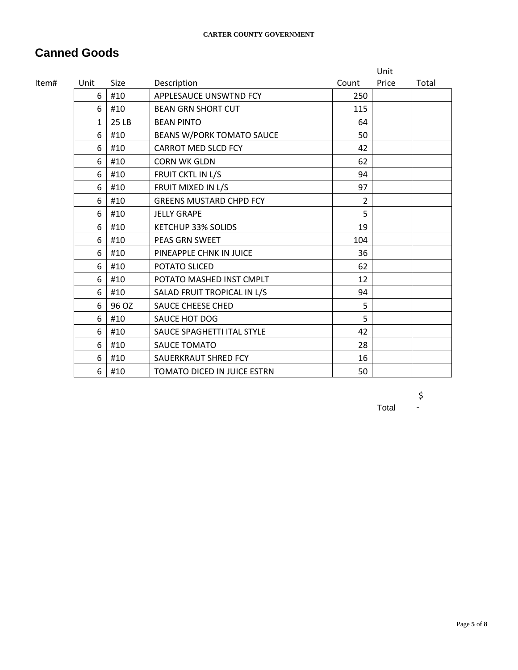# **Canned Goods**

|       |              |       |                                |       | Unit  |       |
|-------|--------------|-------|--------------------------------|-------|-------|-------|
| ltem# | Unit         | Size  | Description                    | Count | Price | Total |
|       | 6            | #10   | APPLESAUCE UNSWTND FCY         | 250   |       |       |
|       | 6            | #10   | <b>BEAN GRN SHORT CUT</b>      | 115   |       |       |
|       | $\mathbf{1}$ | 25 LB | <b>BEAN PINTO</b>              | 64    |       |       |
|       | 6            | #10   | BEANS W/PORK TOMATO SAUCE      | 50    |       |       |
|       | 6            | #10   | <b>CARROT MED SLCD FCY</b>     | 42    |       |       |
|       | 6            | #10   | <b>CORN WK GLDN</b>            | 62    |       |       |
|       | 6            | #10   | FRUIT CKTL IN L/S              | 94    |       |       |
|       | 6            | #10   | FRUIT MIXED IN L/S             | 97    |       |       |
|       | 6            | #10   | <b>GREENS MUSTARD CHPD FCY</b> | 2     |       |       |
|       | 6            | #10   | <b>JELLY GRAPE</b>             | 5     |       |       |
|       | 6            | #10   | <b>KETCHUP 33% SOLIDS</b>      | 19    |       |       |
|       | 6            | #10   | <b>PEAS GRN SWEET</b>          | 104   |       |       |
|       | 6            | #10   | PINEAPPLE CHNK IN JUICE        | 36    |       |       |
|       | 6            | #10   | POTATO SLICED                  | 62    |       |       |
|       | 6            | #10   | POTATO MASHED INST CMPLT       | 12    |       |       |
|       | 6            | #10   | SALAD FRUIT TROPICAL IN L/S    | 94    |       |       |
|       | 6            | 96 OZ | <b>SAUCE CHEESE CHED</b>       | 5     |       |       |
|       | 6            | #10   | SAUCE HOT DOG                  | 5     |       |       |
|       | 6            | #10   | SAUCE SPAGHETTI ITAL STYLE     | 42    |       |       |
|       | 6            | #10   | <b>SAUCE TOMATO</b>            | 28    |       |       |
|       | 6            | #10   | SAUERKRAUT SHRED FCY           | 16    |       |       |
|       | 6            | #10   | TOMATO DICED IN JUICE ESTRN    | 50    |       |       |

\$ -

Total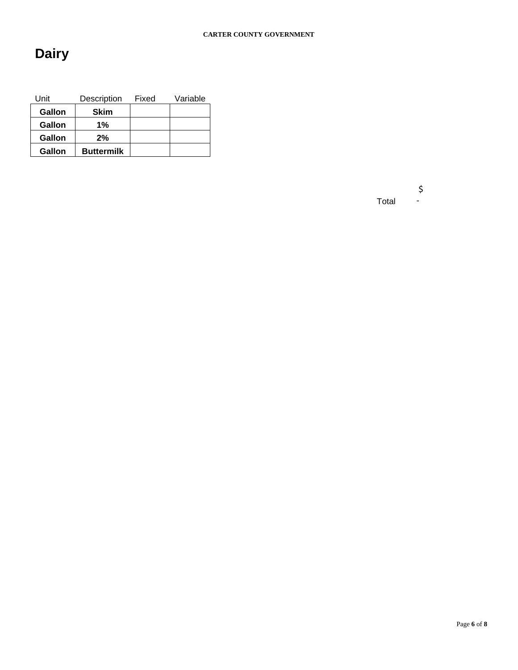# **Dairy**

| Unit   | Description       | Fixed | Variable |
|--------|-------------------|-------|----------|
| Gallon | <b>Skim</b>       |       |          |
| Gallon | 1%                |       |          |
| Gallon | $2\%$             |       |          |
| Gallon | <b>Buttermilk</b> |       |          |

Total \$ -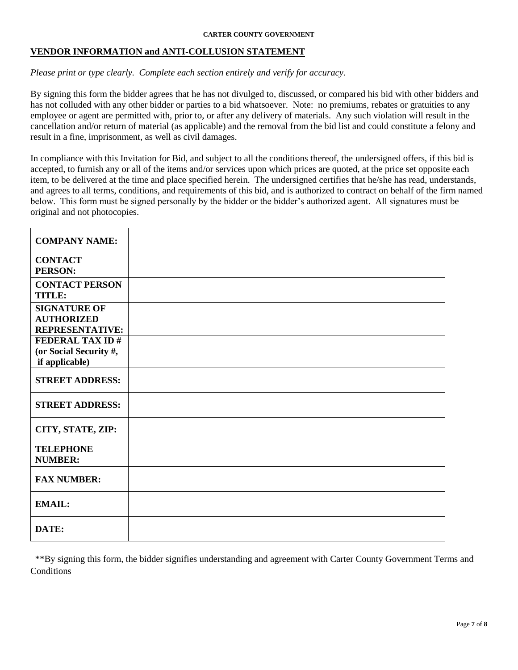#### **VENDOR INFORMATION and ANTI-COLLUSION STATEMENT**

#### *Please print or type clearly. Complete each section entirely and verify for accuracy.*

By signing this form the bidder agrees that he has not divulged to, discussed, or compared his bid with other bidders and has not colluded with any other bidder or parties to a bid whatsoever. Note: no premiums, rebates or gratuities to any employee or agent are permitted with, prior to, or after any delivery of materials. Any such violation will result in the cancellation and/or return of material (as applicable) and the removal from the bid list and could constitute a felony and result in a fine, imprisonment, as well as civil damages.

In compliance with this Invitation for Bid, and subject to all the conditions thereof, the undersigned offers, if this bid is accepted, to furnish any or all of the items and/or services upon which prices are quoted, at the price set opposite each item, to be delivered at the time and place specified herein. The undersigned certifies that he/she has read, understands, and agrees to all terms, conditions, and requirements of this bid, and is authorized to contract on behalf of the firm named below. This form must be signed personally by the bidder or the bidder's authorized agent. All signatures must be original and not photocopies.

| <b>COMPANY NAME:</b>                                               |  |
|--------------------------------------------------------------------|--|
| <b>CONTACT</b><br>PERSON:                                          |  |
| <b>CONTACT PERSON</b><br><b>TITLE:</b>                             |  |
| <b>SIGNATURE OF</b><br><b>AUTHORIZED</b><br><b>REPRESENTATIVE:</b> |  |
| <b>FEDERAL TAX ID#</b><br>(or Social Security #,<br>if applicable) |  |
| <b>STREET ADDRESS:</b>                                             |  |
| <b>STREET ADDRESS:</b>                                             |  |
| CITY, STATE, ZIP:                                                  |  |
| <b>TELEPHONE</b><br><b>NUMBER:</b>                                 |  |
| <b>FAX NUMBER:</b>                                                 |  |
| <b>EMAIL:</b>                                                      |  |
| DATE:                                                              |  |

 \*\*By signing this form, the bidder signifies understanding and agreement with Carter County Government Terms and **Conditions**